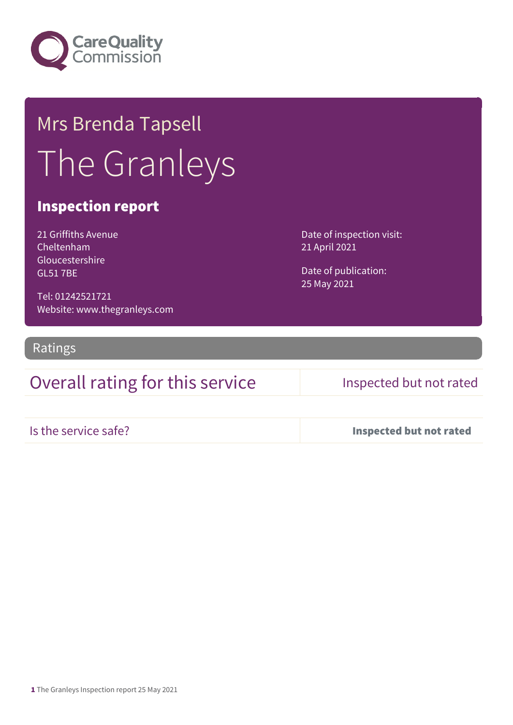

# Mrs Brenda Tapsell The Granleys

## Inspection report

21 Griffiths Avenue Cheltenham Gloucestershire GL51 7BE

Tel: 01242521721 Website: www.thegranleys.com Date of inspection visit: 21 April 2021

Date of publication: 25 May 2021

Ratings

## Overall rating for this service Inspected but not rated

Is the service safe? Inspected but not rated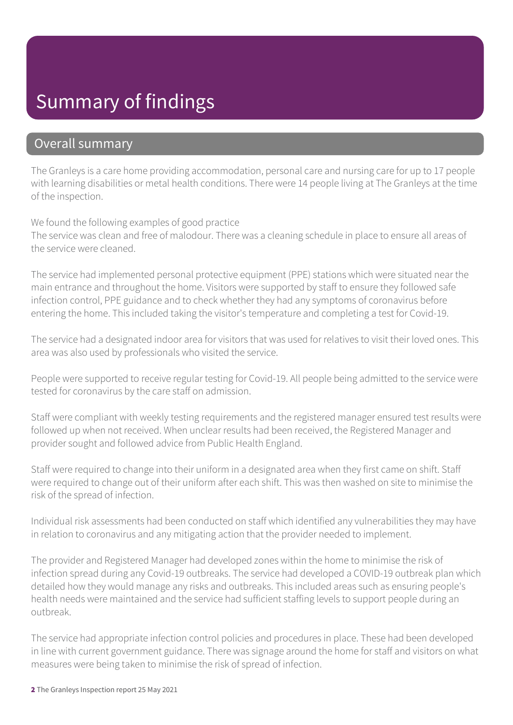## Summary of findings

### Overall summary

The Granleys is a care home providing accommodation, personal care and nursing care for up to 17 people with learning disabilities or metal health conditions. There were 14 people living at The Granleys at the time of the inspection.

We found the following examples of good practice

The service was clean and free of malodour. There was a cleaning schedule in place to ensure all areas of the service were cleaned.

The service had implemented personal protective equipment (PPE) stations which were situated near the main entrance and throughout the home. Visitors were supported by staff to ensure they followed safe infection control, PPE guidance and to check whether they had any symptoms of coronavirus before entering the home. This included taking the visitor's temperature and completing a test for Covid-19.

The service had a designated indoor area for visitors that was used for relatives to visit their loved ones. This area was also used by professionals who visited the service.

People were supported to receive regular testing for Covid-19. All people being admitted to the service were tested for coronavirus by the care staff on admission.

Staff were compliant with weekly testing requirements and the registered manager ensured test results were followed up when not received. When unclear results had been received, the Registered Manager and provider sought and followed advice from Public Health England.

Staff were required to change into their uniform in a designated area when they first came on shift. Staff were required to change out of their uniform after each shift. This was then washed on site to minimise the risk of the spread of infection.

Individual risk assessments had been conducted on staff which identified any vulnerabilities they may have in relation to coronavirus and any mitigating action that the provider needed to implement.

The provider and Registered Manager had developed zones within the home to minimise the risk of infection spread during any Covid-19 outbreaks. The service had developed a COVID-19 outbreak plan which detailed how they would manage any risks and outbreaks. This included areas such as ensuring people's health needs were maintained and the service had sufficient staffing levels to support people during an outbreak.

The service had appropriate infection control policies and procedures in place. These had been developed in line with current government guidance. There was signage around the home for staff and visitors on what measures were being taken to minimise the risk of spread of infection.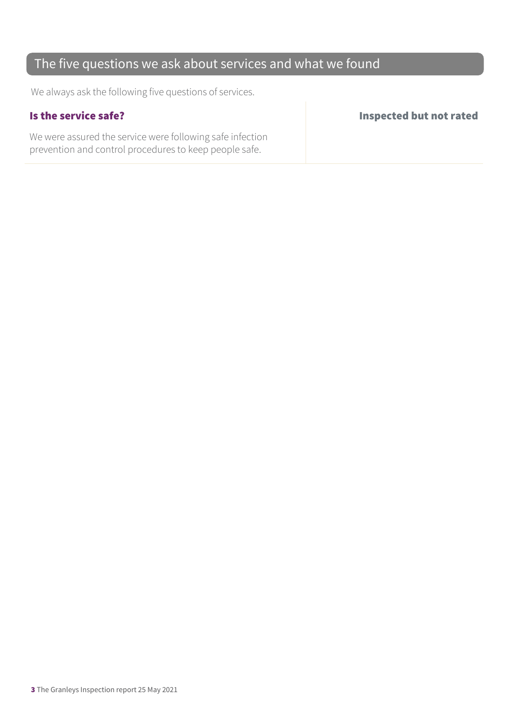## The five questions we ask about services and what we found

We always ask the following five questions of services.

We were assured the service were following safe infection prevention and control procedures to keep people safe.

Is the service safe? Inspected but not rated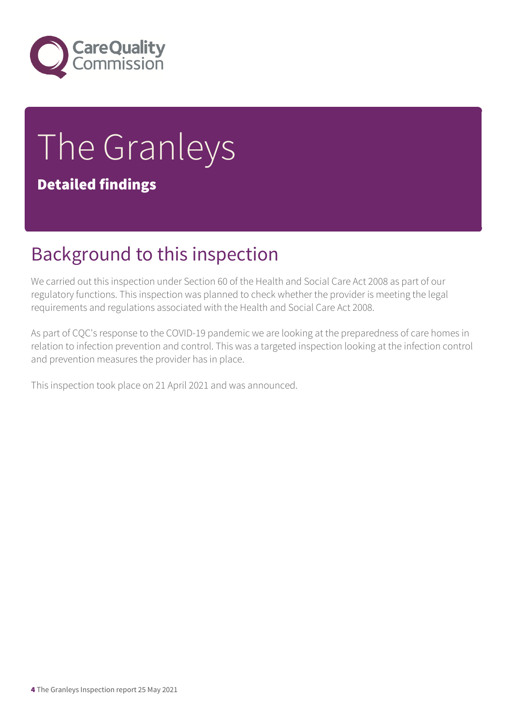

# The Granleys

## Detailed findings

# Background to this inspection

We carried out this inspection under Section 60 of the Health and Social Care Act 2008 as part of our regulatory functions. This inspection was planned to check whether the provider is meeting the legal requirements and regulations associated with the Health and Social Care Act 2008.

As part of CQC's response to the COVID-19 pandemic we are looking at the preparedness of care homes in relation to infection prevention and control. This was a targeted inspection looking at the infection control and prevention measures the provider has in place.

This inspection took place on 21 April 2021 and was announced.